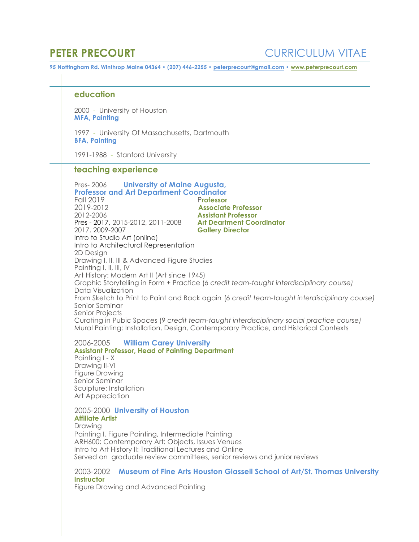**education**

2000 - University of Houston **MFA, Painting**

1997 - University Of Massachusetts, Dartmouth **BFA, Painting**

1991-1988 - Stanford University

## **teaching experience**

Pres- 2006 **University of Maine Augusta, Professor and Art Department Coordinator** Fall 2019 P**rofessor** 2019-2012 **Associate Professor** 2012-2006 **Assistant Professor** Pres - 2017, 2015-2012, 2011-2008<br>2017, 2009-2007 **Gallery Director** Intro to Studio Art (online) Intro to Architectural Representation 2D Design Drawing I, II, III & Advanced Figure Studies Painting I, II, III, IV Art History: Modern Art II (Art since 1945) Graphic Storytelling in Form + Practice (*6 credit team-taught interdisciplinary course)*  Data Visualization From Sketch to Print to Paint and Back again (*6 credit team-taught interdisciplinary course)*  Senior Seminar Senior Projects Curating in Pubic Spaces (9 *credit team-taught interdisciplinary social practice course)* Mural Painting: Installation, Design, Contemporary Practice, and Historical Contexts

### 2006-2005 **William Carey University Assistant Professor, Head of Painting Department** Painting I - X Drawing II-VI Figure Drawing Senior Seminar Sculpture: Installation Art Appreciation

# 2005-2000 **University of Houston Affiliate Artist**

Drawing Painting I, Figure Painting, Intermediate Painting ARH600: Contemporary Art: Objects, Issues Venues Intro to Art History II: Traditional Lectures and Online Served on graduate review committees, senior reviews and junior reviews

# 2003-2002 **Museum of Fine Arts Houston Glassell School of Art/St. Thomas University Instructor**

Figure Drawing and Advanced Painting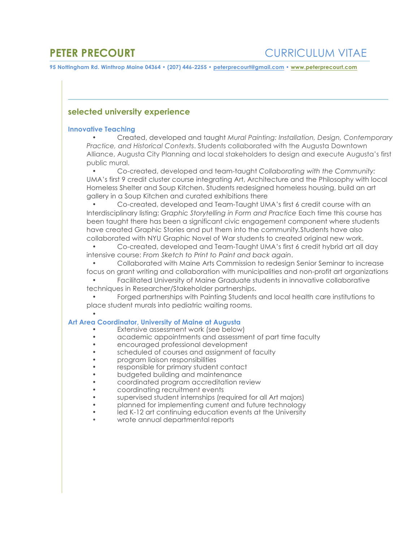# **selected university experience**

### **Innovative Teaching**

• Created, developed and taught *Mural Painting: Installation, Design, Contemporary Practice, and Historical Contexts*. Students collaborated with the Augusta Downtown Alliance, Augusta City Planning and local stakeholders to design and execute Augusta's first public mural.

• Co-created, developed and team-taught *Collaborating with the Community:* UMA's first 9 credit cluster course integrating Art, Architecture and the Philosophy with local Homeless Shelter and Soup Kitchen. Students redesigned homeless housing, build an art gallery in a Soup Kitchen and curated exhibitions there

• Co-created, developed and Team-Taught UMA's first 6 credit course with an Interdisciplinary listing: *G*r*aphic Storytelling in Form and Practice* Each time this course has been taught there has been a significant civic engagement component where students have created Graphic Stories and put them into the community*.*Students have also collaborated with NYU Graphic Novel of War students to created original new work.

• Co-created, developed and Team-Taught UMA's first 6 credit hybrid art all day intensive course: *From Sketch to Print to Paint and back again*.

• Collaborated with Maine Arts Commission to redesign Senior Seminar to increase focus on grant writing and collaboration with municipalities and non-profit art organizations

• Facilitated University of Maine Graduate students in innovative collaborative techniques in Researcher/Stakeholder partnerships.

• Forged partnerships with Painting Students and local health care institutions to place student murals into pediatric waiting rooms.

### • **Art Area Coordinator, University of Maine at Augusta**

- Extensive assessment work (see below)
- academic appointments and assessment of part time faculty
- encouraged professional development
- scheduled of courses and assignment of faculty
- program liaison responsibilities
- responsible for primary student contact
- budgeted building and maintenance
- coordinated program accreditation review
- coordinating recruitment events
- supervised student internships (required for all Art majors)
- planned for implementing current and future technology
- led K-12 art continuing education events at the University
- wrote annual departmental reports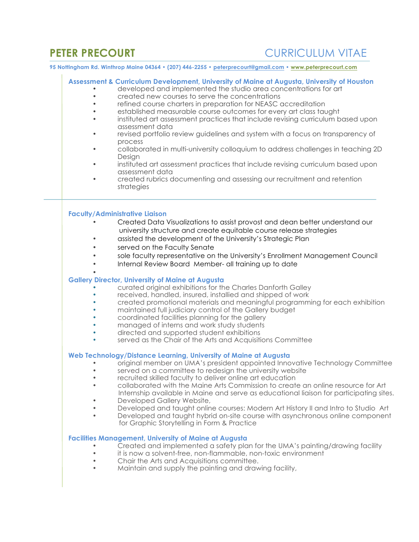# **PETER PRECOURT CURRICULUM VITAE**

**95 Nottingham Rd. Winthrop Maine 04364 • (207) 446-2255 • peterprecourt@gmail.com • www.peterprecourt.com**

| Assessment & Curriculum Development, University of Maine at Augusta, University of Houston<br>developed and implemented the studio area concentrations for art<br>created new courses to serve the concentrations<br>refined course charters in preparation for NEASC accreditation<br>established measurable course outcomes for every art class taught<br>instituted art assessment practices that include revising curriculum based upon<br>assessment data<br>revised portfolio review guidelines and system with a focus on transparency of                                                                                                                                                             |
|--------------------------------------------------------------------------------------------------------------------------------------------------------------------------------------------------------------------------------------------------------------------------------------------------------------------------------------------------------------------------------------------------------------------------------------------------------------------------------------------------------------------------------------------------------------------------------------------------------------------------------------------------------------------------------------------------------------|
| process<br>collaborated in multi-university colloquium to address challenges in teaching 2D<br>$\bullet$                                                                                                                                                                                                                                                                                                                                                                                                                                                                                                                                                                                                     |
| Design<br>instituted art assessment practices that include revising curriculum based upon<br>$\bullet$                                                                                                                                                                                                                                                                                                                                                                                                                                                                                                                                                                                                       |
| assessment data<br>created rubrics documenting and assessing our recruitment and retention<br>strategies                                                                                                                                                                                                                                                                                                                                                                                                                                                                                                                                                                                                     |
|                                                                                                                                                                                                                                                                                                                                                                                                                                                                                                                                                                                                                                                                                                              |
| <b>Faculty/Administrative Liaison</b><br>Created Data Visualizations to assist provost and dean better understand our<br>university structure and create equitable course release strategies<br>assisted the development of the University's Strategic Plan<br>served on the Faculty Senate<br>sole faculty representative on the University's Enrollment Management Council                                                                                                                                                                                                                                                                                                                                 |
| Internal Review Board Member- all training up to date                                                                                                                                                                                                                                                                                                                                                                                                                                                                                                                                                                                                                                                        |
| <b>Gallery Director, University of Maine at Augusta</b><br>curated original exhibitions for the Charles Danforth Galley<br>received, handled, insured, installied and shipped of work<br>created promotional materials and meaningful programming for each exhibition<br>maintained full judiciary control of the Gallery budget<br>coordinated facilities planning for the gallery<br>managed of interns and work study students<br>directed and supported student exhibitions<br>served as the Chair of the Arts and Acquisitions Committee                                                                                                                                                                |
| Web Technology/Distance Learning, University of Maine at Augusta<br>original member on UMA's president appointed Innovative Technology Committee<br>served on a committee to redesign the university website<br>recruited skilled faculty to deliver online art education<br>collaborated with the Maine Arts Commission to create an online resource for Art<br>Internship available in Maine and serve as educational liaison for participating sites.<br>Developed Gallery Website,<br>Developed and taught online courses: Modern Art History II and Intro to Studio Art<br>Developed and taught hybrid on-site course with asynchronous online component<br>for Graphic Storytelling in Form & Practice |
| <b>Facilities Management, University of Maine at Augusta</b><br>Created and implemented a safety plan for the UMA's painting/drawing facility<br>it is now a solvent-free, non-flammable, non-toxic environment<br>Chair the Arts and Acquisitions committee.<br>Maintain and supply the painting and drawing facility,                                                                                                                                                                                                                                                                                                                                                                                      |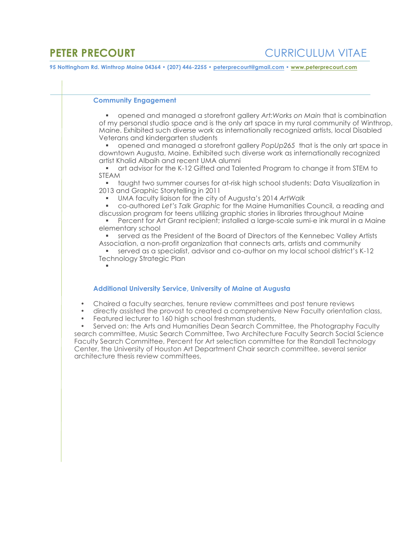### **Community Engagement**

§ opened and managed a storefront gallery *Art:Works on Main* that is combination of my personal studio space and is the only art space in my rural community of Winthrop, Maine. Exhibited such diverse work as internationally recognized artists, local Disabled Veterans and kindergarten students

§ opened and managed a storefront gallery *PopUp265* that is the only art space in downtown Augusta, Maine. Exhibited such diverse work as internationally recognized artist Khalid Albaih and recent UMA alumni

§ art advisor for the K-12 Gifted and Talented Program to change it from STEM to STEAM

§ taught two summer courses for at-risk high school students: Data Visualization in 2013 and Graphic Storytelling in 2011

§ UMA faculty liaison for the city of Augusta's 2014 *ArtWalk*

§ co-authored *Let's Talk Graphic* for the Maine Humanities Council, a reading and discussion program for teens utilizing graphic stories in libraries throughout Maine

§ Percent for Art Grant recipient; installed a large-scale sumi-e ink mural in a Maine elementary school

§ served as the President of the Board of Directors of the Kennebec Valley Artists Association, a non-profit organization that connects arts, artists and community

§ served as a specialist, advisor and co-author on my local school district's K-12 Technology Strategic Plan §

### **Additional University Service, University of Maine at Augusta**

- Chaired a faculty searches, tenure review committees and post tenure reviews
- directly assisted the provost to created a comprehensive New Faculty orientation class,
- Featured lecturer to 160 high school freshman students,

• Served on: the Arts and Humanities Dean Search Committee, the Photography Faculty search committee, Music Search Committee, Two Architecture Faculty Search Social Science Faculty Search Committee, Percent for Art selection committee for the Randall Technology Center, the University of Houston Art Department Chair search committee, several senior architecture thesis review committees,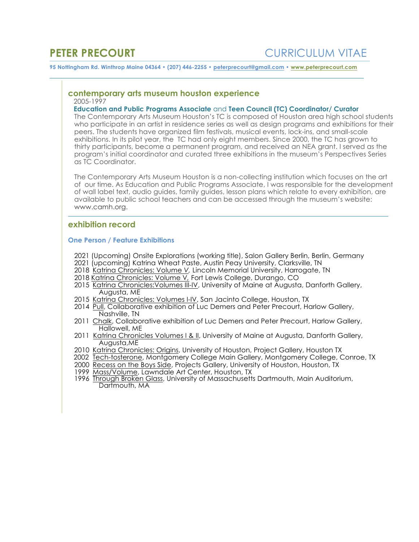# **contemporary arts museum houston experience**2005-1997

### **Education and Public Programs Associate** and **Teen Council (TC) Coordinator/ Curator**

The Contemporary Arts Museum Houston's TC is composed of Houston area high school students who participate in an artist in residence series as well as design programs and exhibitions for their peers. The students have organized film festivals, musical events, lock-ins, and small-scale exhibitions. In its pilot year, the TC had only eight members. Since 2000, the TC has grown to thirty participants, become a permanent program, and received an NEA grant. I served as the program's initial coordinator and curated three exhibitions in the museum's Perspectives Series as TC Coordinator.

The Contemporary Arts Museum Houston is a non-collecting institution which focuses on the art of our time. As Education and Public Programs Associate, I was responsible for the development of wall label text, audio guides, family guides, lesson plans which relate to every exhibition, are available to public school teachers and can be accessed through the museum's website: www.camh.org.

## **exhibition record**

### **One Person / Feature Exhibitions**

- 2021 (Upcoming) Onsite Explorations (working title), Salon Gallery Berlin, Berlin, Germany
- 2021 (upcoming) Katrina Wheat Paste, Austin Peay University, Clarksville, TN
- 2018 Katrina Chronicles: Volume *V,* Lincoln Memorial University, Harrogate, TN
- 2018 Katrina Chronicles: Volume V*,* Fort Lewis College, Durango, CO
- 2015 Katrina Chronicles:Volumes III-IV, University of Maine at Augusta, Danforth Gallery, Augusta, ME
- 2015 Katrina Chronicles: Volumes I-IV, San Jacinto College, Houston, TX
- 2014 Pull, Collaborative exhibition of Luc Demers and Peter Precourt, Harlow Gallery, Nashville, TN
- 2011 Chalk, Collaborative exhibition of Luc Demers and Peter Precourt, Harlow Gallery, Hallowell, ME
- 2011 Katrina Chronicles Volumes I & II, University of Maine at Augusta, Danforth Gallery, Augusta,ME
- 2010 Katrina Chronicles: Origins, University of Houston, Project Gallery, Houston TX
- 2002 Tech-tosterone, Montgomery College Main Gallery, Montgomery College, Conroe, TX
- 2000 Recess on the Boys Side, Projects Gallery, University of Houston, Houston, TX
- 1999 Mass/Volume, Lawndale Art Center, Houston, TX
- 1996 Through Broken Glass, University of Massachusetts Dartmouth, Main Auditorium, Dartmouth, MA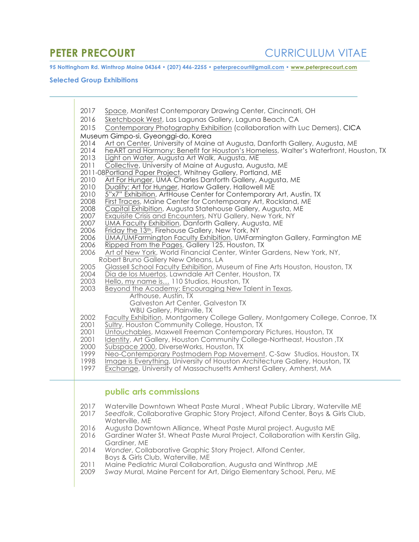# **Selected Group Exhibitions**

| 2017<br>Space, Manifest Contemporary Drawing Center, Cincinnati, OH<br>2016<br>Sketchbook West, Las Lagunas Gallery, Laguna Beach, CA                                                                                                                                                                           |
|-----------------------------------------------------------------------------------------------------------------------------------------------------------------------------------------------------------------------------------------------------------------------------------------------------------------|
| 2015<br>Contemporary Photography Exhibition (collaboration with Luc Demers), CICA                                                                                                                                                                                                                               |
| Museum Gimpo-si, Gyeonggi-do, Korea                                                                                                                                                                                                                                                                             |
| Art on Center, University of Maine at Augusta, Danforth Gallery, Augusta, ME<br>2014<br>2014<br>heART and Harmony: Benefit for Houston's Homeless, Walter's Waterfront, Houston, TX<br>2013<br>Light on Water, Augusta Art Walk, Augusta, ME<br>2011<br>Collective, University of Maine at Augusta, Augusta, ME |
| 2011-08Portland Paper Project, Whitney Gallery, Portland, ME                                                                                                                                                                                                                                                    |
| 2010<br>Art For Hunger, UMA Charles Danforth Gallery, Augusta, ME                                                                                                                                                                                                                                               |
| 2010<br>Duality: Art for Hunger, Harlow Gallery, Hallowell ME                                                                                                                                                                                                                                                   |
| 2010<br>5"x7" Exhibition, ArtHouse Center for Contemporary Art, Austin, TX                                                                                                                                                                                                                                      |
| 2008<br>First Traces, Maine Center for Contemporary Art, Rockland, ME                                                                                                                                                                                                                                           |
| 2008<br>Capital Exhibition, Augusta Statehouse Gallery, Augusta, ME                                                                                                                                                                                                                                             |
| 2007<br>Exquisite Crisis and Encounters, NYU Gallery, New York, NY<br>2007<br>UMA Faculty Exhibition, Danforth Gallery, Augusta, ME                                                                                                                                                                             |
| 2006<br>Friday the 13th, Firehouse Gallery, New York, NY                                                                                                                                                                                                                                                        |
| 2006<br>UMA/UMFarmington Faculty Exhibition, UMFarmington Gallery, Farmington ME                                                                                                                                                                                                                                |
| 2006<br>Ripped From the Pages, Gallery 125, Houston, TX                                                                                                                                                                                                                                                         |
| 2006<br>Art of New York, World Financial Center, Winter Gardens, New York, NY,                                                                                                                                                                                                                                  |
| Robert Bruno Gallery New Orleans, LA                                                                                                                                                                                                                                                                            |
| 2005<br>Glassell School Faculty Exhibition, Museum of Fine Arts Houston, Houston, TX                                                                                                                                                                                                                            |
| 2004<br>Dia de los Muertos, Lawndale Art Center, Houston, TX<br>2003<br>Hello, my name is 110 Studios, Houston, TX                                                                                                                                                                                              |
| 2003<br>Beyond the Academy: Encouraging New Talent in Texas,                                                                                                                                                                                                                                                    |
| Arthouse, Austin, TX                                                                                                                                                                                                                                                                                            |
| Galveston Art Center, Galveston TX                                                                                                                                                                                                                                                                              |
| WBU Gallery, Plainville, TX                                                                                                                                                                                                                                                                                     |
| 2002<br>Faculty Exhibition, Montgomery College Gallery, Montgomery College, Conroe, TX                                                                                                                                                                                                                          |
| 2001<br>Sultry, Houston Community College, Houston, TX<br>2001                                                                                                                                                                                                                                                  |
| Untouchables, Maxwell Freeman Contemporary Pictures, Houston, TX<br>2001<br>Identity, Art Gallery, Houston Community College-Northeast, Houston, TX                                                                                                                                                             |
| 2000<br>Subspace 2000, DiverseWorks, Houston, TX                                                                                                                                                                                                                                                                |
| 1999<br>Neo-Contemporary Postmodern Pop Movement, C-Saw Studios, Houston, TX                                                                                                                                                                                                                                    |
| 1998<br>Image is Everything, University of Houston Architecture Gallery, Houston, TX                                                                                                                                                                                                                            |
| 1997<br>Exchange, University of Massachusetts Amherst Gallery, Amherst, MA                                                                                                                                                                                                                                      |
|                                                                                                                                                                                                                                                                                                                 |
| public arts commissions                                                                                                                                                                                                                                                                                         |
|                                                                                                                                                                                                                                                                                                                 |
| Waterville Downtown Wheat Paste Mural, Wheat Public Library, Waterville ME<br>2017                                                                                                                                                                                                                              |
| Seedfolk, Collaborative Graphic Story Project, Alfond Center, Boys & Girls Club,<br>2017<br>Waterville, ME                                                                                                                                                                                                      |
| 2016<br>Augusta Downtown Alliance, Wheat Paste Mural project. Augusta ME                                                                                                                                                                                                                                        |
| 2016<br>Gardiner Water St. Wheat Paste Mural Project, Collaboration with Kerstin Gilg,                                                                                                                                                                                                                          |
| Gardiner, ME                                                                                                                                                                                                                                                                                                    |
| Wonder, Collaborative Graphic Story Project, Alfond Center,<br>2014                                                                                                                                                                                                                                             |
| Boys & Girls Club, Waterville, ME                                                                                                                                                                                                                                                                               |
| Maine Pediatric Mural Collaboration, Augusta and Winthrop, ME<br>2011<br>2009                                                                                                                                                                                                                                   |
| Sway Mural, Maine Percent for Art, Dirigo Elementary School, Peru, ME                                                                                                                                                                                                                                           |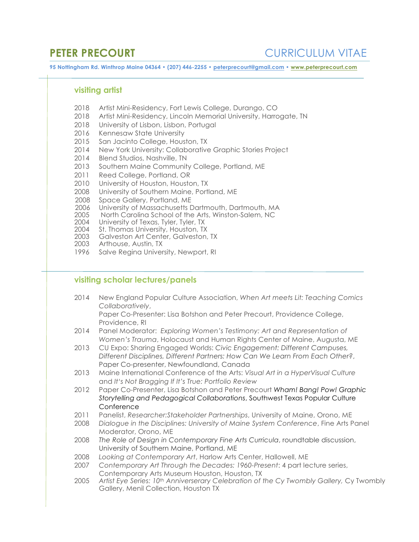**PETER PRECOURT CURRICULUM VITAE** 

**95 Nottingham Rd. Winthrop Maine 04364 • (207) 446-2255 • peterprecourt@gmail.com • www.peterprecourt.com**

# **visiting artist**

- 2018 Artist Mini-Residency, Fort Lewis College, Durango, CO
- 2018 Artist Mini-Residency, Lincoln Memorial University, Harrogate, TN
- 2018 University of Lisbon, Lisbon, Portugal<br>2016 Kennesaw State University
- Kennesaw State University
- 2015 San Jacinto College, Houston, TX
- 2014 New York University: Collaborative Graphic Stories Project
- 2014 Blend Studios, Nashville, TN
- 2013 Southern Maine Community College, Portland, ME
- 2011 Reed College, Portland, OR
- 2010 University of Houston, Houston, TX
- 2008 University of Southern Maine, Portland, ME
- 2008 Space Gallery, Portland, ME
- 2006 University of Massachusetts Dartmouth, Dartmouth, MA
- 2005 North Carolina School of the Arts, Winston-Salem, NC
- 2004 University of Texas, Tyler, Tyler, TX
- 2004 St. Thomas University, Houston, TX<br>2003 Galveston Art Center, Galveston,
- Galveston Art Center, Galveston, TX
- 2003 Arthouse, Austin, TX
- 1996 Salve Regina University, Newport, RI

# **visiting scholar lectures/panels**

2014 New England Popular Culture Association, *When Art meets Lit: Teaching Comics Collaboratively*,

Paper Co-Presenter: Lisa Botshon and Peter Precourt, Providence College, Providence, RI

- 2014 Panel Moderator: *Exploring Women's Testimony: Art and Representation of Women's Trauma*, Holocaust and Human Rights Center of Maine, Augusta, ME
- 2013 CU Expo: Sharing Engaged Worlds: *Civic Engagement: Different Campuses, Different Disciplines, Different Partners: How Can We Learn From Each Other?*, Paper Co-presenter, Newfoundland, Canada
- 2013 Maine International Conference of the Arts: *Visual Art in a HyperVisual Culture*  and *It's Not Bragging If It's True: Portfolio Review*
- 2012 Paper Co-Presenter, Lisa Botshon and Peter Precourt *Wham! Bang! Pow! Graphic Storytelling and Pedagogical Collaborations*, Southwest Texas Popular Culture **Conference**
- 2011 Panelist, *Researcher:Stakeholder Partnerships*, University of Maine, Orono, ME
- 2008 *Dialogue in the Disciplines: University of Maine System Conference*, Fine Arts Panel Moderator, Orono, ME
- 2008 *The Role of Design in Contemporary Fine Arts Curricula*, roundtable discussion, University of Southern Maine, Portland, ME
- 2008 *Looking at Contemporary Art*, Harlow Arts Center, Hallowell, ME
- 2007 *Contemporary Art Through the Decades: 1960-Present*: 4 part lecture series, Contemporary Arts Museum Houston, Houston, TX
- 2005 *Artist Eye Series: 10th Anniverserary Celebration of the Cy Twombly Gallery,* Cy Twombly Gallery, Menil Collection, Houston TX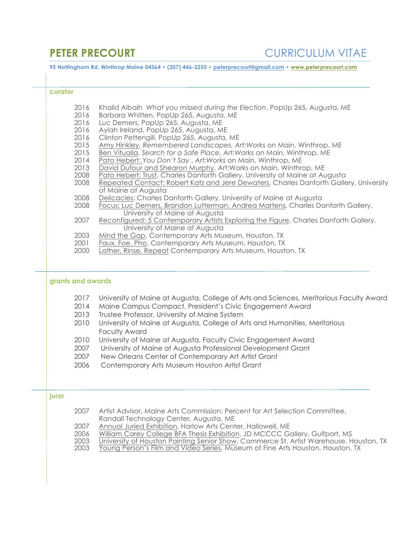| curator           |                              |                                                                                                                                                                                                                                                                                                      |
|-------------------|------------------------------|------------------------------------------------------------------------------------------------------------------------------------------------------------------------------------------------------------------------------------------------------------------------------------------------------|
|                   | 2016                         | Khalid Albaih What you missed during the Election, PopUp 265, Augusta, ME                                                                                                                                                                                                                            |
|                   | 2016                         | Barbara Whitten, PopUp 265, Augusta, ME                                                                                                                                                                                                                                                              |
|                   | 2016                         | Luc Demers, PopUp 265, Augusta, ME                                                                                                                                                                                                                                                                   |
|                   | 2016                         | Aylah Ireland, PopUp 265, Augusta, ME                                                                                                                                                                                                                                                                |
|                   | 2016                         | Clinton Pettengill, PopUp 265, Augusta, ME                                                                                                                                                                                                                                                           |
|                   | 2015                         | Amy Hinkley, Remembered Landscapes, Art: Works on Main, Winthrop, ME                                                                                                                                                                                                                                 |
|                   | 2015                         | Ben Vitualla, Search for a Safe Place, Art: Works on Main, Winthrop, ME                                                                                                                                                                                                                              |
|                   | 2014                         | Pato Hebert: You Don't Say, Art: Works on Main, Winthrop, ME                                                                                                                                                                                                                                         |
|                   | 2013                         | David Dufour and Shearon Murphy, Art: Works on Main, Winthrop, ME                                                                                                                                                                                                                                    |
|                   | 2008                         | Pato Hebert: Trust, Charles Danforth Gallery, University of Maine at Augusta                                                                                                                                                                                                                         |
|                   | 2008                         | Repeated Contact: Robert Katz and Jere Dewaters, Charles Danforth Gallery, University<br>of Maine at Augusta                                                                                                                                                                                         |
|                   | 2008                         | Delicacies: Charles Danforth Gallery, University of Maine at Augusta                                                                                                                                                                                                                                 |
|                   | 2008                         | Focus: Luc Demers, Brandon Lutterman, Andrea Martens, Charles Danforth Gallery,                                                                                                                                                                                                                      |
|                   |                              | University of Maine at Augusta                                                                                                                                                                                                                                                                       |
|                   | 2007                         | Reconfigured: 5 Contemporary Artists Exploring the Figure, Charles Danforth Gallery,                                                                                                                                                                                                                 |
|                   |                              | University of Maine at Augusta                                                                                                                                                                                                                                                                       |
|                   | 2003                         | Mind the Gap, Contemporary Arts Museum, Houston, TX                                                                                                                                                                                                                                                  |
|                   | 2001                         | Faux, Foe, Pho, Contemporary Arts Museum, Houston, TX                                                                                                                                                                                                                                                |
|                   | 2000                         | Lather, Rinse, Repeat Contemporary Arts Museum, Houston, TX                                                                                                                                                                                                                                          |
|                   |                              |                                                                                                                                                                                                                                                                                                      |
|                   | 2017<br>2014<br>2013<br>2010 | University of Maine at Augusta, College of Arts and Sciences, Meritorious Faculty Award<br>Maine Campus Compact, President's Civic Engagement Award<br>Trustee Professor, University of Maine System<br>University of Maine at Augusta, College of Arts and Humanities, Meritorious<br>Faculty Award |
|                   | 2010                         | University of Maine at Augusta, Faculty Civic Engagement Award                                                                                                                                                                                                                                       |
|                   | 2007                         | University of Maine at Augusta Professional Development Grant                                                                                                                                                                                                                                        |
| grants and awards | 2007                         | New Orleans Center of Contemporary Art Artist Grant                                                                                                                                                                                                                                                  |
|                   | 2006                         | Contemporary Arts Museum Houston Artist Grant                                                                                                                                                                                                                                                        |
|                   |                              |                                                                                                                                                                                                                                                                                                      |
| juror             | 2007                         |                                                                                                                                                                                                                                                                                                      |
|                   |                              | Artist Advisor, Maine Arts Commission: Percent for Art Selection Committee,                                                                                                                                                                                                                          |
|                   | 2007                         | Randall Technology Center, Augusta, ME<br>Annual Juried Exhibition, Harlow Arts Center, Hallowell, ME                                                                                                                                                                                                |
|                   | 2006                         | William Carey College BFA Thesis Exhibition, JD MCCCC Gallery, Gulfport, MS<br>University of Houston Painting Senior Show, Commerce St. Artist Warehouse, Houston, TX                                                                                                                                |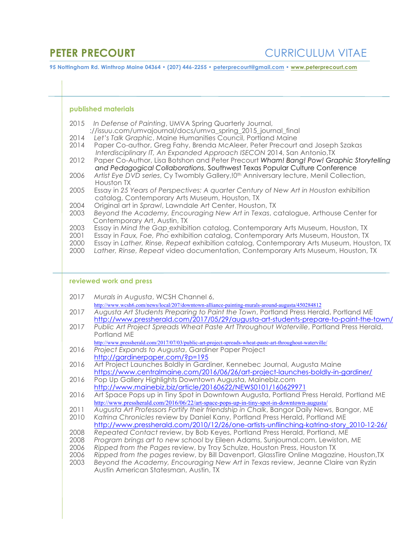### **published materials**

- 2015 *In Defense of Painting*, UMVA Spring Quarterly Journal,
- ://issuu.com/umvajournal/docs/umva\_spring\_2015\_journal\_final
- 2014 *Let's Talk Graphic*, Maine Humanities Council, Portland Maine
- 2014 Paper Co-author, Greg Fahy, Brenda McAleer, Peter Precourt and Joseph Szakas *I I Interdisciplinary IT, An Expanded Approach ISECON* 2014, San Antonio,TX
- 2012 Paper Co-Author, Lisa Botshon and Peter Precourt *Wham! Bang! Pow! Graphic Storytelling a and Pedagogical Collaborations*, Southwest Texas Popular Culture Conference
- 2006 Artist Eye DVD series, Cy Twombly Gallery, <sup>10th</sup> Anniversary lecture, Menil Collection, Houston TX
- 2005 Essay in 25 Years of Perspectives: A quarter Century of New Art in Houston exhibition c catalog, Contemporary Arts Museum, Houston, TX
- 2004 Original art in *Sprawl*, Lawndale Art Center, Houston, TX
- 2003 *Beyond the Academy, Encouraging New Art in Texas*, catalogue, Arthouse Center for C Contemporary Art, Austin, TX
- 2003 Essay in *Mind the Gap* exhibition catalog, Contemporary Arts Museum, Houston, TX
- 2001 Essay in *Faux, Foe, Pho* exhibition catalog, Contemporary Arts Museum, Houston, TX
- 2000 Essay in *Lather, Rinse, Repeat* exhibition catalog, Contemporary Arts Museum, Houston, TX
- 2000 *Lather, Rinse, Repeat* video documentation, Contemporary Arts Museum, Houston, TX

### **reviewed work and press**

- 2017 *Murals in Augusta*, WCSH Channel 6,
	- http://www.wcsh6.com/news/local/207/downtown-alliance-painting-murals-around-augusta/450284812
- 2017 *Augusta Art Students Preparing to Paint the Town*, Portland Press Herald, Portland ME http://www.pressherald.com/2017/05/29/augusta-art-students-prepare-to-paint-the-town/
- 2017 *Public Art Project Spreads Wheat Paste Art Throughout Waterville*, Portland Press Herald, Portland ME
	- http://www.pressherald.com/2017/07/03/public-art-project-spreads-wheat-paste-art-throughout-waterville/
- 2016 *Project Expands to Augusta*, Gardiner Paper Project http://gardinerpaper.com/?p=195
- 2016 Art Project Launches Boldly in Gardiner, Kennebec Journal, Augusta Maine https://www.centralmaine.com/2016/06/26/art-project-launches-boldly-in-gardiner/
- 2016 Pop Up Gallery Highlights Downtown Augusta, Mainebiz.com http://www.mainebiz.biz/article/20160622/NEWS0101/160629971<br>2016 Art Space Pops up in Tiny Spot in Downtown Augusta, Portland P
- Art Space Pops up in Tiny Spot in Downtown Augusta, Portland Press Herald, Portland ME http://www.pressherald.com/2016/06/22/art-space-pops-up-in-tiny-spot-in-downtown-augusta/
- 2011 *Augusta Art Professors Fortify their friendship in Chalk*, Bangor Daily News, Bangor, ME 2010 *Katrina Chronicles* review by Daniel Kany, Portland Press Herald, Portland ME
- http://www.pressherald.com/2010/12/26/one-artists-unflinching-katrina-story\_2010-12-26/
- 2008 *Repeated Contact* review, by Bob Keyes, Portland Press Herald, Portland, ME
- 2008 *Program brings art to new school* by Eileen Adams, Sunjournal.com, Lewiston, ME
- 2006 *Ripped from the Pages* review, by Troy Schulze, Houston Press, Houston TX
- 2006 *Ripped from the pages* review, by Bill Davenport, GlassTire Online Magazine, Houston,TX

2003 *Beyond the Academy, Encouraging New Art in Texas* review, Jeanne Claire van Ryzin Austin American Statesman, Austin, TX